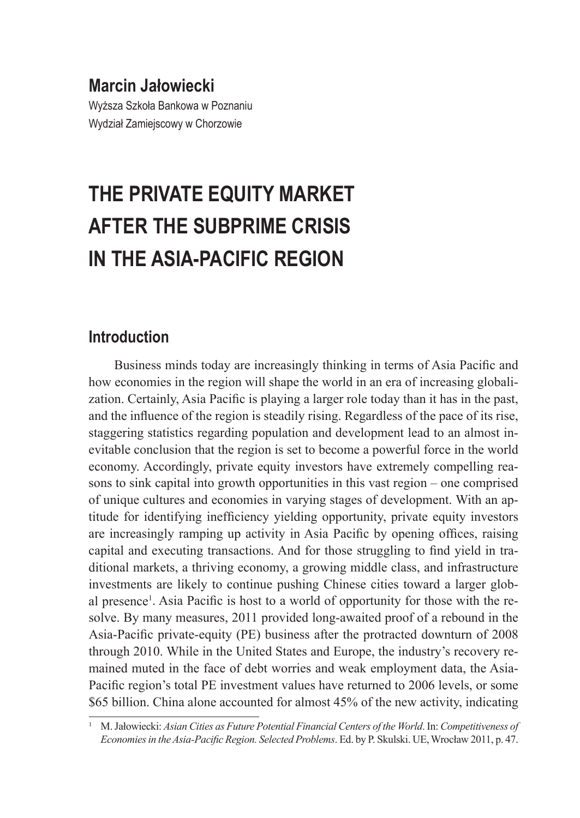**Marcin Jałowiecki** Wyższa Szkoła Bankowa w Poznaniu Wydział Zamiejscowy w Chorzowie

# **THE PRIVATE EQUITY MARKET AFTER THE SUBPRIME CRISIS IN THE ASIA-PACIFIC REGION**

#### **Introduction**

Business minds today are increasingly thinking in terms of Asia Pacific and how economies in the region will shape the world in an era of increasing globalization. Certainly, Asia Pacific is playing a larger role today than it has in the past, and the influence of the region is steadily rising. Regardless of the pace of its rise, staggering statistics regarding population and development lead to an almost inevitable conclusion that the region is set to become a powerful force in the world economy. Accordingly, private equity investors have extremely compelling reasons to sink capital into growth opportunities in this vast region – one comprised of unique cultures and economies in varying stages of development. With an aptitude for identifying inefficiency yielding opportunity, private equity investors are increasingly ramping up activity in Asia Pacific by opening offices, raising capital and executing transactions. And for those struggling to find yield in traditional markets, a thriving economy, a growing middle class, and infrastructure investments are likely to continue pushing Chinese cities toward a larger global presence<sup>1</sup>. Asia Pacific is host to a world of opportunity for those with the resolve. By many measures, 2011 provided long-awaited proof of a rebound in the Asia-Pacific private-equity (PE) business after the protracted downturn of 2008 through 2010. While in the United States and Europe, the industry's recovery remained muted in the face of debt worries and weak employment data, the Asia-Pacific region's total PE investment values have returned to 2006 levels, or some \$65 billion. China alone accounted for almost 45% of the new activity, indicating

<sup>1</sup> M. Jałowiecki: *Asian Cities as Future Potential Financial Centers of the World*. In: *Competitiveness of Economies in the Asia-Pacific Region. Selected Problems*. Ed. by P. Skulski. UE, Wrocław 2011, p. 47.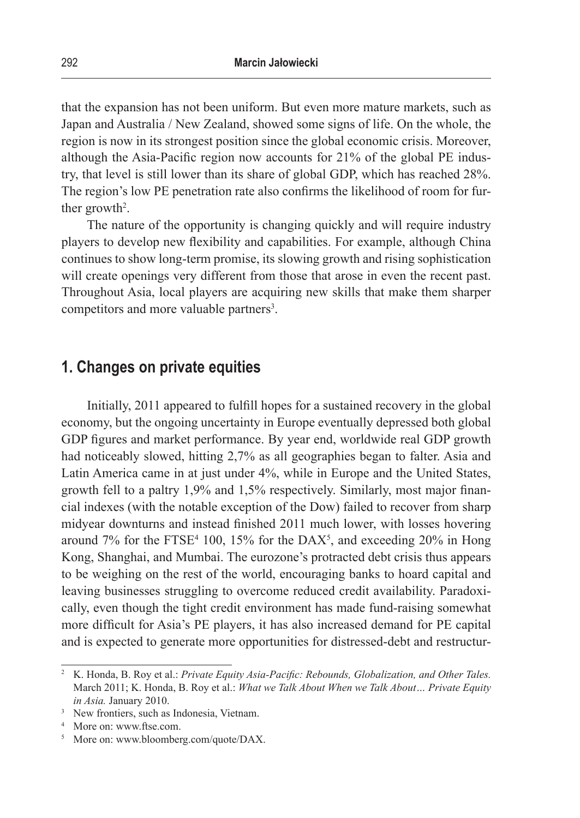that the expansion has not been uniform. But even more mature markets, such as Japan and Australia / New Zealand, showed some signs of life. On the whole, the region is now in its strongest position since the global economic crisis. Moreover, although the Asia-Pacific region now accounts for 21% of the global PE industry, that level is still lower than its share of global GDP, which has reached 28%. The region's low PE penetration rate also confirms the likelihood of room for further growth<sup>2</sup>.

The nature of the opportunity is changing quickly and will require industry players to develop new flexibility and capabilities. For example, although China continues to show long-term promise, its slowing growth and rising sophistication will create openings very different from those that arose in even the recent past. Throughout Asia, local players are acquiring new skills that make them sharper competitors and more valuable partners<sup>3</sup>.

## **1. Changes on private equities**

Initially, 2011 appeared to fulfill hopes for a sustained recovery in the global economy, but the ongoing uncertainty in Europe eventually depressed both global GDP figures and market performance. By year end, worldwide real GDP growth had noticeably slowed, hitting 2,7% as all geographies began to falter. Asia and Latin America came in at just under 4%, while in Europe and the United States, growth fell to a paltry 1,9% and 1,5% respectively. Similarly, most major financial indexes (with the notable exception of the Dow) failed to recover from sharp midyear downturns and instead finished 2011 much lower, with losses hovering around  $7\%$  for the FTSE<sup>4</sup> 100, 15% for the DAX<sup>5</sup>, and exceeding 20% in Hong Kong, Shanghai, and Mumbai. The eurozone's protracted debt crisis thus appears to be weighing on the rest of the world, encouraging banks to hoard capital and leaving businesses struggling to overcome reduced credit availability. Paradoxically, even though the tight credit environment has made fund-raising somewhat more difficult for Asia's PE players, it has also increased demand for PE capital and is expected to generate more opportunities for distressed-debt and restructur-

<sup>2</sup> K. Honda, B. Roy et al.: *Private Equity Asia-Pacific: Rebounds, Globalization, and Other Tales.* March 2011; K. Honda, B. Roy et al.: *What we Talk About When we Talk About… Private Equity in Asia.* January 2010.

<sup>&</sup>lt;sup>3</sup> New frontiers, such as Indonesia, Vietnam.

<sup>4</sup> More on: www.ftse.com.

<sup>5</sup> More on: www.bloomberg.com/quote/DAX.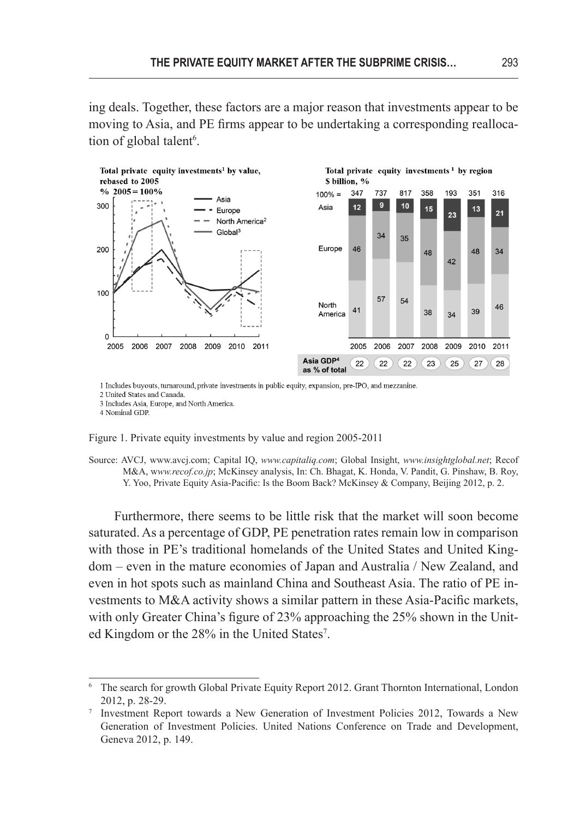ing deals. Together, these factors are a major reason that investments appear to be moving to Asia, and PE firms appear to be undertaking a corresponding reallocation of global talent<sup>6</sup>.



1 Includes buyouts, turnaround, private investments in public equity, expansion, pre-IPO, and mezzanine.

2 United States and Canada 3 Includes Asia, Europe, and North America.

4 Nominal GDP.

Figure 1. Private equity investments by value and region 2005-2011

Source: AVCJ, www.avcj.com; Capital IQ, *www.capitaliq.com*; Global Insight, *www.insightglobal.net*; Recof M&A, w*ww.recof.co.jp*; McKinsey analysis, In: Ch. Bhagat, K. Honda, V. Pandit, G. Pinshaw, B. Roy, Y. Yoo, Private Equity Asia-Pacific: Is the Boom Back? McKinsey & Company, Beijing 2012, p. 2.

Furthermore, there seems to be little risk that the market will soon become saturated. As a percentage of GDP, PE penetration rates remain low in comparison with those in PE's traditional homelands of the United States and United Kingdom – even in the mature economies of Japan and Australia / New Zealand, and even in hot spots such as mainland China and Southeast Asia. The ratio of PE investments to M&A activity shows a similar pattern in these Asia-Pacific markets, with only Greater China's figure of 23% approaching the 25% shown in the United Kingdom or the 28% in the United States<sup>7</sup>.

<sup>6</sup> The search for growth Global Private Equity Report 2012. Grant Thornton International, London 2012, p. 28-29.

<sup>7</sup> Investment Report towards a New Generation of Investment Policies 2012, Towards a New Generation of Investment Policies. United Nations Conference on Trade and Development, Geneva 2012, p. 149.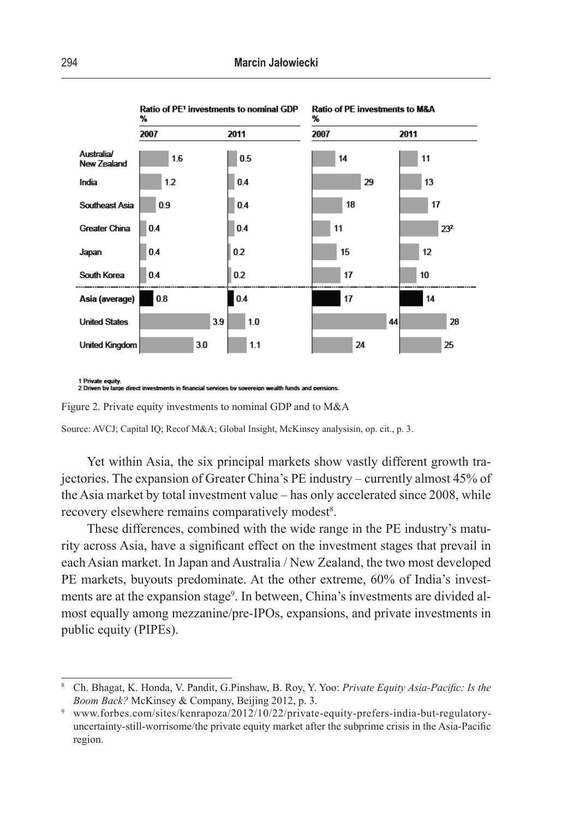

1 Private equity. 2 Driven by large direct investments in financial services by sovereign wealth funds and pensions.

Figure 2. Private equity investments to nominal GDP and to M&A

Source: AVCJ; Capital IQ; Recof M&A; Global Insight, McKinsey analysisin, op. cit., p. 3.

Yet within Asia, the six principal markets show vastly different growth trajectories. The expansion of Greater China's PE industry – currently almost 45% of the Asia market by total investment value – has only accelerated since 2008, while recovery elsewhere remains comparatively modest<sup>8</sup>.

These differences, combined with the wide range in the PE industry's maturity across Asia, have a significant effect on the investment stages that prevail in each Asian market. In Japan and Australia / New Zealand, the two most developed PE markets, buyouts predominate. At the other extreme, 60% of India's investments are at the expansion stage<sup>9</sup>. In between, China's investments are divided almost equally among mezzanine/pre-IPOs, expansions, and private investments in public equity (PIPEs).

<sup>8</sup> Ch. Bhagat, K. Honda, V. Pandit, G.Pinshaw, B. Roy, Y. Yoo: *Private Equity Asia-Pacific: Is the Boom Back?* McKinsey & Company, Beijing 2012, p. 3.

<sup>9</sup> www.forbes.com/sites/kenrapoza/2012/10/22/private-equity-prefers-india-but-regulatoryuncertainty-still-worrisome/the private equity market after the subprime crisis in the Asia-Pacific region.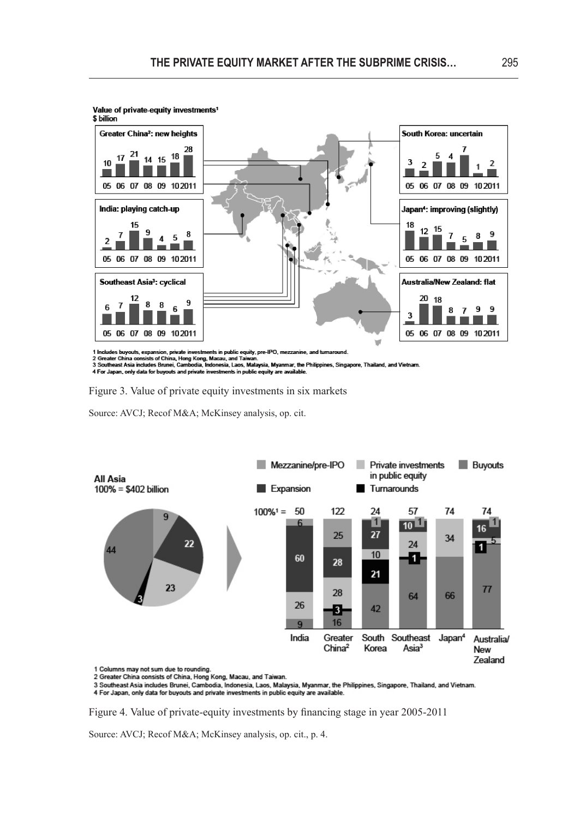

1 Includes buyouts, expansion, private investments in public equity, pre-IPO, mezzanine, and tumaround.<br>2 Greater China consists of China, Hong Kong, Macau, and Taiwan.<br>3 Southeast Asia includes Brunei, Cambodia, Indonesia

Figure 3. Value of private equity investments in six markets

Source: AVCJ; Recof M&A; McKinsey analysis, op. cit.



1 Columns may not sum due to rounding.

1 Columns may not sum que to rounding.<br>2 Greater China consists of China, Hong Kong, Macau, and Taiwan.<br>3 Southeast Asia includes Brunei, Cambodia, Indonesia, Laos, Malaysia, Myanmar, the Philippines, Singapore, Thailand, 4 For Japan, only data for buyouts and private investments in public equity are available.

Figure 4. Value of private-equity investments by financing stage in year 2005-2011

Source: AVCJ; Recof M&A; McKinsey analysis, op. cit., p. 4.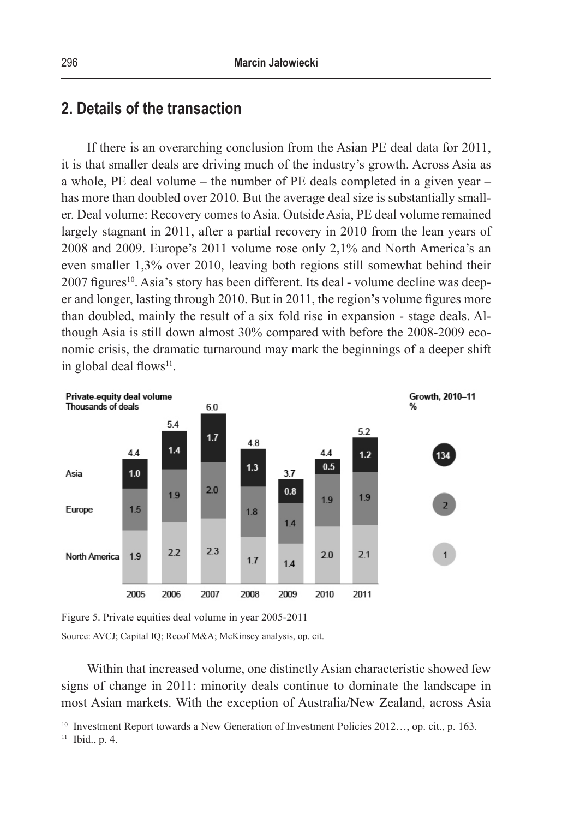## **2. Details of the transaction**

If there is an overarching conclusion from the Asian PE deal data for 2011, it is that smaller deals are driving much of the industry's growth. Across Asia as a whole, PE deal volume – the number of PE deals completed in a given year – has more than doubled over 2010. But the average deal size is substantially smaller. Deal volume: Recovery comes to Asia. Outside Asia, PE deal volume remained largely stagnant in 2011, after a partial recovery in 2010 from the lean years of 2008 and 2009. Europe's 2011 volume rose only 2,1% and North America's an even smaller 1,3% over 2010, leaving both regions still somewhat behind their 2007 figures<sup>10</sup>. Asia's story has been different. Its deal - volume decline was deeper and longer, lasting through 2010. But in 2011, the region's volume figures more than doubled, mainly the result of a six fold rise in expansion - stage deals. Although Asia is still down almost 30% compared with before the 2008-2009 economic crisis, the dramatic turnaround may mark the beginnings of a deeper shift in global deal flows<sup>11</sup>.



Figure 5. Private equities deal volume in year 2005-2011

Source: AVCJ; Capital IQ; Recof M&A; McKinsey analysis, op. cit.

Within that increased volume, one distinctly Asian characteristic showed few signs of change in 2011: minority deals continue to dominate the landscape in most Asian markets. With the exception of Australia/New Zealand, across Asia

<sup>&</sup>lt;sup>10</sup> Investment Report towards a New Generation of Investment Policies  $2012...$ , op. cit., p. 163.

<sup>11</sup> Ibid., p. 4.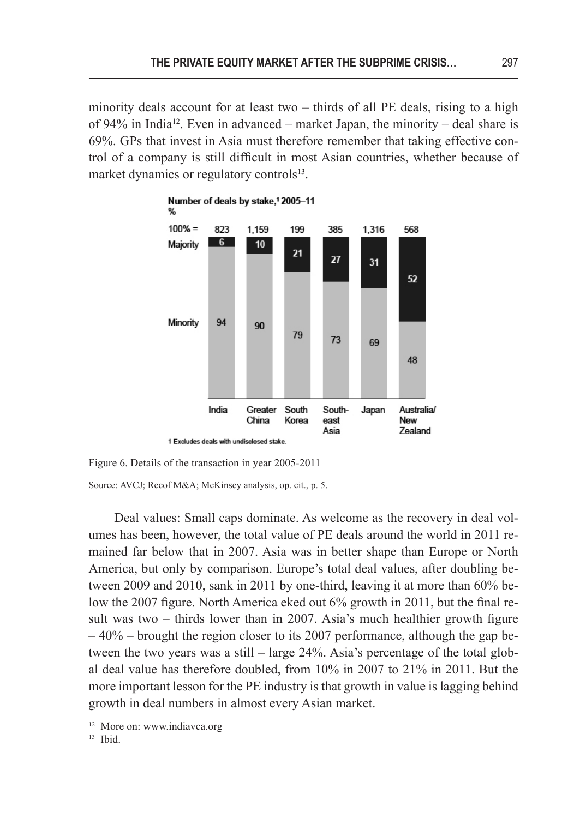minority deals account for at least two  $-$  thirds of all PE deals, rising to a high of 94% in India<sup>12</sup>. Even in advanced – market Japan, the minority – deal share is 69%. GPs that invest in Asia must therefore remember that taking effective control of a company is still difficult in most Asian countries, whether because of market dynamics or regulatory controls<sup>13</sup>.





Figure 6. Details of the transaction in year 2005-2011

Source: AVCJ; Recof M&A; McKinsey analysis, op. cit., p. 5.

Deal values: Small caps dominate. As welcome as the recovery in deal volumes has been, however, the total value of PE deals around the world in 2011 remained far below that in 2007. Asia was in better shape than Europe or North America, but only by comparison. Europe's total deal values, after doubling between 2009 and 2010, sank in 2011 by one-third, leaving it at more than 60% below the 2007 figure. North America eked out 6% growth in 2011, but the final result was two – thirds lower than in 2007. Asia's much healthier growth figure  $-40\%$  – brought the region closer to its 2007 performance, although the gap between the two years was a still – large 24%. Asia's percentage of the total global deal value has therefore doubled, from 10% in 2007 to 21% in 2011. But the more important lesson for the PE industry is that growth in value is lagging behind growth in deal numbers in almost every Asian market.

#### <sup>13</sup> Ibid.

<sup>12</sup> More on: www.indiavca.org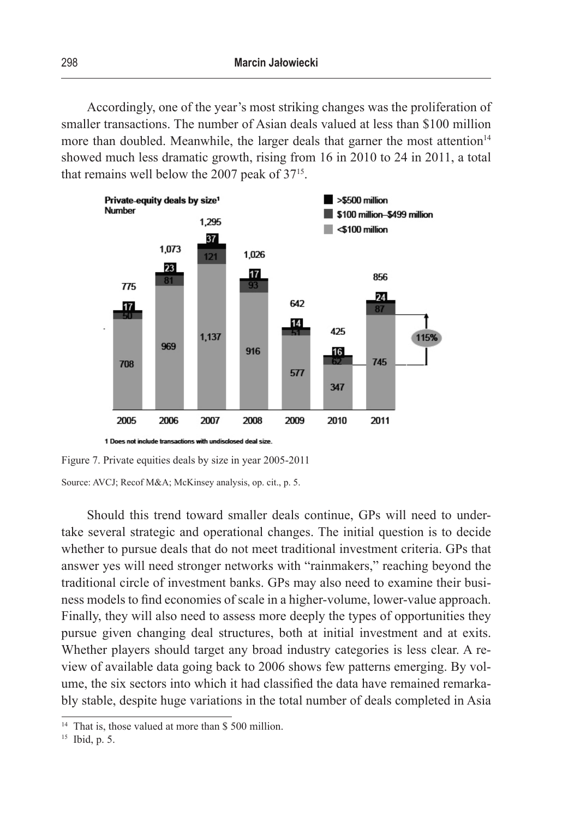Accordingly, one of the year's most striking changes was the proliferation of smaller transactions. The number of Asian deals valued at less than \$100 million more than doubled. Meanwhile, the larger deals that garner the most attention<sup>14</sup> showed much less dramatic growth, rising from 16 in 2010 to 24 in 2011, a total that remains well below the 2007 peak of 3715.



Figure 7. Private equities deals by size in year 2005-2011

Source: AVCJ; Recof M&A; McKinsey analysis, op. cit., p. 5.

Should this trend toward smaller deals continue, GPs will need to undertake several strategic and operational changes. The initial question is to decide whether to pursue deals that do not meet traditional investment criteria. GPs that answer yes will need stronger networks with "rainmakers," reaching beyond the traditional circle of investment banks. GPs may also need to examine their business models to find economies of scale in a higher-volume, lower-value approach. Finally, they will also need to assess more deeply the types of opportunities they pursue given changing deal structures, both at initial investment and at exits. Whether players should target any broad industry categories is less clear. A review of available data going back to 2006 shows few patterns emerging. By volume, the six sectors into which it had classified the data have remained remarkably stable, despite huge variations in the total number of deals completed in Asia

<sup>&</sup>lt;sup>14</sup> That is, those valued at more than \$ 500 million.

<sup>15</sup> Ibid, p. 5.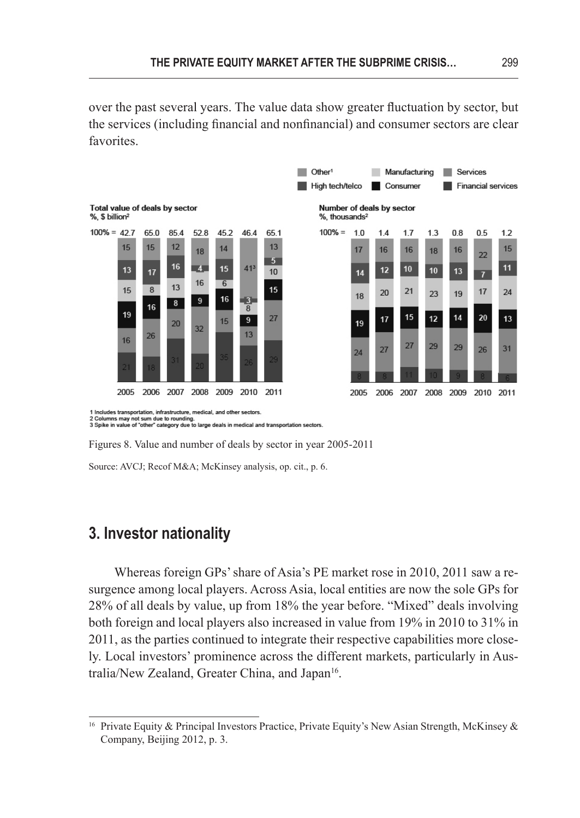over the past several years. The value data show greater fluctuation by sector, but the services (including financial and nonfinancial) and consumer sectors are clear favorites.



2 Columns may not sum due to rounding.<br>2 Columns may not sum due to rounding.<br>3 Spike in value of "other" category due to large deals in medical and transportation sectors

Figures 8. Value and number of deals by sector in year 2005-2011

Source: AVCJ; Recof M&A; McKinsey analysis, op. cit., p. 6.

# **3. Investor nationality**

Whereas foreign GPs' share of Asia's PE market rose in 2010, 2011 saw a resurgence among local players. Across Asia, local entities are now the sole GPs for 28% of all deals by value, up from 18% the year before. "Mixed" deals involving both foreign and local players also increased in value from 19% in 2010 to 31% in 2011, as the parties continued to integrate their respective capabilities more closely. Local investors' prominence across the different markets, particularly in Australia/New Zealand, Greater China, and Japan<sup>16</sup>.

<sup>&</sup>lt;sup>16</sup> Private Equity & Principal Investors Practice, Private Equity's New Asian Strength, McKinsey & Company, Beijing 2012, p. 3.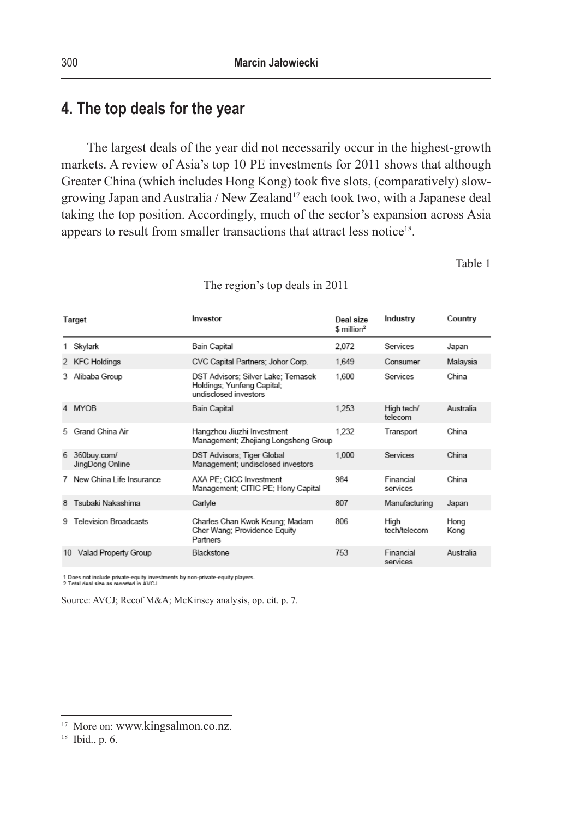# **4. The top deals for the year**

The largest deals of the year did not necessarily occur in the highest-growth markets. A review of Asia's top 10 PE investments for 2011 shows that although Greater China (which includes Hong Kong) took five slots, (comparatively) slowgrowing Japan and Australia / New Zealand<sup>17</sup> each took two, with a Japanese deal taking the top position. Accordingly, much of the sector's expansion across Asia appears to result from smaller transactions that attract less notice<sup>18</sup>.

Table 1

| Target       |                                | Investor                                                                                  | Deal size<br>\$ million <sup>2</sup> | Industry              | Country      |
|--------------|--------------------------------|-------------------------------------------------------------------------------------------|--------------------------------------|-----------------------|--------------|
|              | 1 Skylark                      | Bain Capital                                                                              | 2,072                                | Services              | Japan        |
|              | 2 KFC Holdings                 | CVC Capital Partners; Johor Corp.                                                         | 1,649                                | Consumer              | Malaysia     |
| 3            | Alibaba Group                  | DST Advisors; Silver Lake; Temasek<br>Holdings; Yunfeng Capital;<br>undisclosed investors | 1,600                                | Services              | China        |
|              | 4 MYOB                         | Bain Capital                                                                              | 1.253                                | High tech/<br>telecom | Australia    |
| 5.           | Grand China Air                | Hangzhou Jiuzhi Investment<br>Management; Zhejiang Longsheng Group                        | 1.232                                | Transport             | China        |
| 6            | 360buy.com/<br>JingDong Online | DST Advisors; Tiger Global<br>Management; undisclosed investors                           | 1.000                                | Services              | China        |
| $\mathbf{7}$ | New China Life Insurance       | AXA PE; CICC Investment<br>Management; CITIC PE; Hony Capital                             | 984                                  | Financial<br>services | China        |
| 8            | Tsubaki Nakashima              | Carlyle                                                                                   | 807                                  | Manufacturing         | Japan        |
| 9            | <b>Television Broadcasts</b>   | Charles Chan Kwok Keung; Madam<br>Cher Wang; Providence Equity<br>Partners                | 806                                  | High<br>tech/telecom  | Hong<br>Kong |
| 10           | Valad Property Group           | Blackstone                                                                                | 753                                  | Financial<br>services | Australia    |

The region's top deals in 2011

1 Does not include private-equity investments by non-private-equity players.<br>2 Total deal size as reported in AVCJ

Source: AVCJ; Recof M&A; McKinsey analysis, op. cit. p. 7.

<sup>&</sup>lt;sup>17</sup> More on: www.kingsalmon.co.nz.

<sup>18</sup> Ibid., p. 6.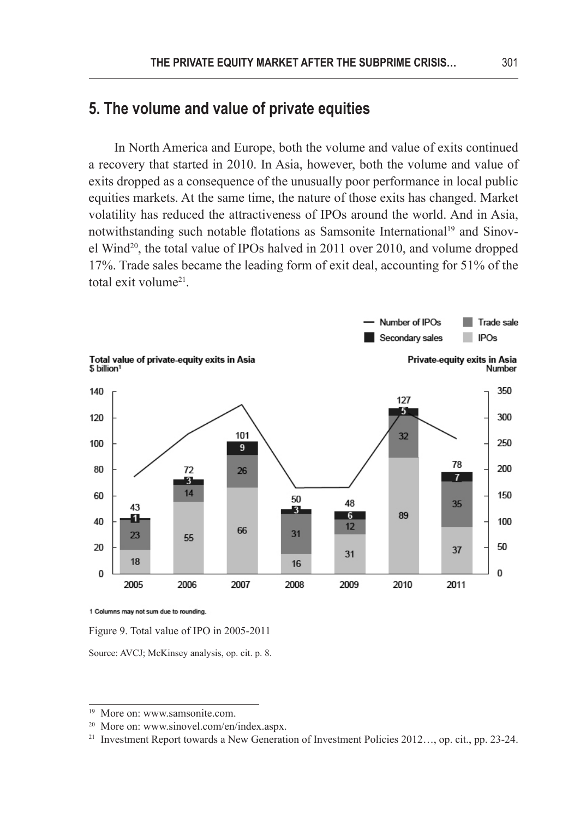# **5. The volume and value of private equities**

In North America and Europe, both the volume and value of exits continued a recovery that started in 2010. In Asia, however, both the volume and value of exits dropped as a consequence of the unusually poor performance in local public equities markets. At the same time, the nature of those exits has changed. Market volatility has reduced the attractiveness of IPOs around the world. And in Asia, notwithstanding such notable flotations as Samsonite International<sup>19</sup> and Sinovel Wind20, the total value of IPOs halved in 2011 over 2010, and volume dropped 17%. Trade sales became the leading form of exit deal, accounting for 51% of the total exit volume<sup>21</sup>



<sup>1</sup> Columns may not sum due to rounding

Figure 9. Total value of IPO in 2005-2011

Source: AVCJ; McKinsey analysis, op. cit. p. 8.

<sup>&</sup>lt;sup>19</sup> More on: www.samsonite.com.

<sup>20</sup> More on: www.sinovel.com/en/index.aspx.

<sup>21</sup> Investment Report towards a New Generation of Investment Policies 2012…, op. cit., pp. 23-24.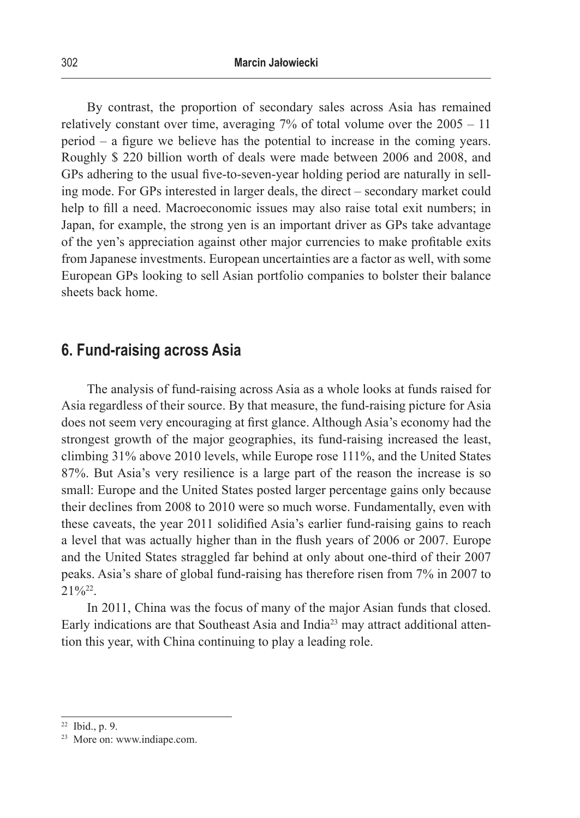By contrast, the proportion of secondary sales across Asia has remained relatively constant over time, averaging  $7\%$  of total volume over the  $2005 - 11$ period – a figure we believe has the potential to increase in the coming years. Roughly \$ 220 billion worth of deals were made between 2006 and 2008, and GPs adhering to the usual five-to-seven-year holding period are naturally in selling mode. For GPs interested in larger deals, the direct – secondary market could help to fill a need. Macroeconomic issues may also raise total exit numbers; in Japan, for example, the strong yen is an important driver as GPs take advantage of the yen's appreciation against other major currencies to make profitable exits from Japanese investments. European uncertainties are a factor as well, with some European GPs looking to sell Asian portfolio companies to bolster their balance sheets back home.

#### **6. Fund-raising across Asia**

The analysis of fund-raising across Asia as a whole looks at funds raised for Asia regardless of their source. By that measure, the fund-raising picture for Asia does not seem very encouraging at first glance. Although Asia's economy had the strongest growth of the major geographies, its fund-raising increased the least, climbing 31% above 2010 levels, while Europe rose 111%, and the United States 87%. But Asia's very resilience is a large part of the reason the increase is so small: Europe and the United States posted larger percentage gains only because their declines from 2008 to 2010 were so much worse. Fundamentally, even with these caveats, the year 2011 solidified Asia's earlier fund-raising gains to reach a level that was actually higher than in the flush years of 2006 or 2007. Europe and the United States straggled far behind at only about one-third of their 2007 peaks. Asia's share of global fund-raising has therefore risen from 7% in 2007 to  $21\%^{22}$ .

In 2011, China was the focus of many of the major Asian funds that closed. Early indications are that Southeast Asia and India23 may attract additional attention this year, with China continuing to play a leading role.

<sup>22</sup> Ibid., p. 9.

<sup>23</sup> More on: www.indiape.com.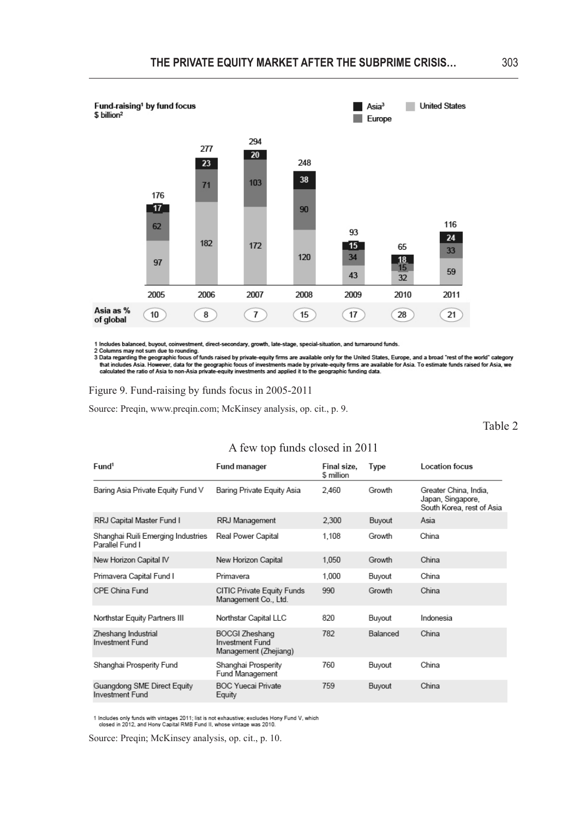

1 Includes balanced, buyout, coinvestment, direct-secondary, growth, late-stage, special-situation, and turnaround funds.<br>2 Columns may not sum due to rounding.<br>3 Data regarding the geographic focus of funds raised by priv

Figure 9. Fund-raising by funds focus in 2005-2011

Source: Preqin, www.preqin.com; McKinsey analysis, op. cit., p. 9.

Table 2

#### A few top funds closed in 2011

| Fund <sup>1</sup>                                     | Fund manager                                                             | Final size,<br>\$ million | Type     | <b>Location focus</b>                                                   |
|-------------------------------------------------------|--------------------------------------------------------------------------|---------------------------|----------|-------------------------------------------------------------------------|
| Baring Asia Private Equity Fund V                     | Baring Private Equity Asia                                               | 2,460                     | Growth   | Greater China, India,<br>Japan, Singapore,<br>South Korea, rest of Asia |
| RRJ Capital Master Fund I                             | RRJ Management                                                           | 2,300                     | Buyout   | Asia                                                                    |
| Shanghai Ruili Emerging Industries<br>Parallel Fund I | Real Power Capital                                                       | 1,108                     | Growth   | China                                                                   |
| New Horizon Capital IV                                | New Horizon Capital                                                      | 1,050                     | Growth   | China                                                                   |
| Primavera Capital Fund I                              | Primavera                                                                | 1,000                     | Buyout   | China                                                                   |
| CPE China Fund                                        | CITIC Private Equity Funds<br>Management Co., Ltd.                       | 990                       | Growth   | China                                                                   |
| Northstar Equity Partners III                         | Northstar Capital LLC                                                    | 820                       | Buyout   | Indonesia                                                               |
| Zheshang Industrial<br><b>Investment Fund</b>         | <b>BOCGI Zheshang</b><br><b>Investment Fund</b><br>Management (Zhejiang) | 782                       | Balanced | China                                                                   |
| Shanghai Prosperity Fund                              | Shanghai Prosperity<br>Fund Management                                   | 760                       | Buyout   | China                                                                   |
| Guangdong SME Direct Equity<br><b>Investment Fund</b> | <b>BOC Yuecai Private</b><br>Equity                                      | 759                       | Buyout   | China                                                                   |

1 Includes only funds with vintages 2011; list is not exhaustive; excludes Hony Fund V, which<br>closed in 2012, and Hony Capital RMB Fund II, whose vintage was 2010.

Source: Preqin; McKinsey analysis, op. cit., p. 10.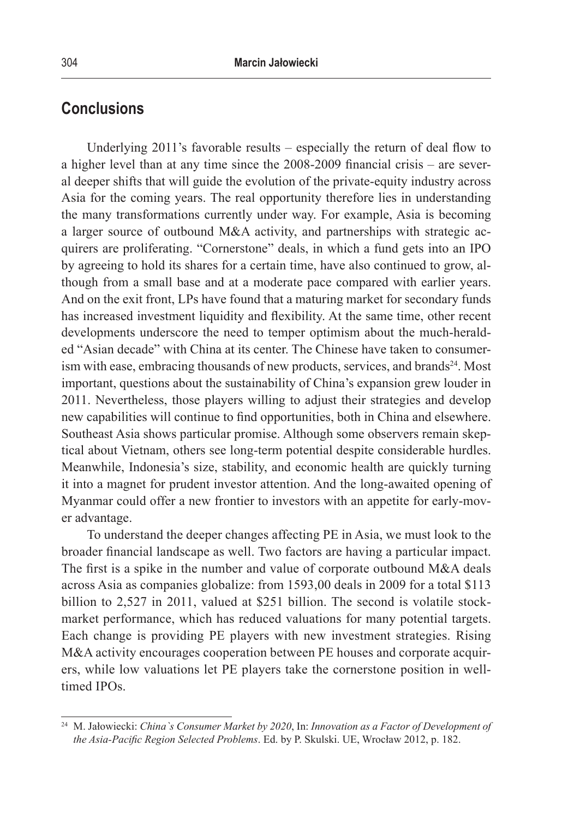## **Conclusions**

Underlying 2011's favorable results – especially the return of deal flow to a higher level than at any time since the 2008-2009 financial crisis – are several deeper shifts that will guide the evolution of the private-equity industry across Asia for the coming years. The real opportunity therefore lies in understanding the many transformations currently under way. For example, Asia is becoming a larger source of outbound M&A activity, and partnerships with strategic acquirers are proliferating. "Cornerstone" deals, in which a fund gets into an IPO by agreeing to hold its shares for a certain time, have also continued to grow, although from a small base and at a moderate pace compared with earlier years. And on the exit front, LPs have found that a maturing market for secondary funds has increased investment liquidity and flexibility. At the same time, other recent developments underscore the need to temper optimism about the much-heralded "Asian decade" with China at its center. The Chinese have taken to consumerism with ease, embracing thousands of new products, services, and brands<sup>24</sup>. Most important, questions about the sustainability of China's expansion grew louder in 2011. Nevertheless, those players willing to adjust their strategies and develop new capabilities will continue to find opportunities, both in China and elsewhere. Southeast Asia shows particular promise. Although some observers remain skeptical about Vietnam, others see long-term potential despite considerable hurdles. Meanwhile, Indonesia's size, stability, and economic health are quickly turning it into a magnet for prudent investor attention. And the long-awaited opening of Myanmar could offer a new frontier to investors with an appetite for early-mover advantage.

To understand the deeper changes affecting PE in Asia, we must look to the broader financial landscape as well. Two factors are having a particular impact. The first is a spike in the number and value of corporate outbound M&A deals across Asia as companies globalize: from 1593,00 deals in 2009 for a total \$113 billion to 2,527 in 2011, valued at \$251 billion. The second is volatile stockmarket performance, which has reduced valuations for many potential targets. Each change is providing PE players with new investment strategies. Rising M&A activity encourages cooperation between PE houses and corporate acquirers, while low valuations let PE players take the cornerstone position in welltimed IPOs.

<sup>24</sup> M. Jałowiecki: *China`s Consumer Market by 2020*, In: *Innovation as a Factor of Development of the Asia-Pacific Region Selected Problems*. Ed. by P. Skulski. UE, Wrocław 2012, p. 182.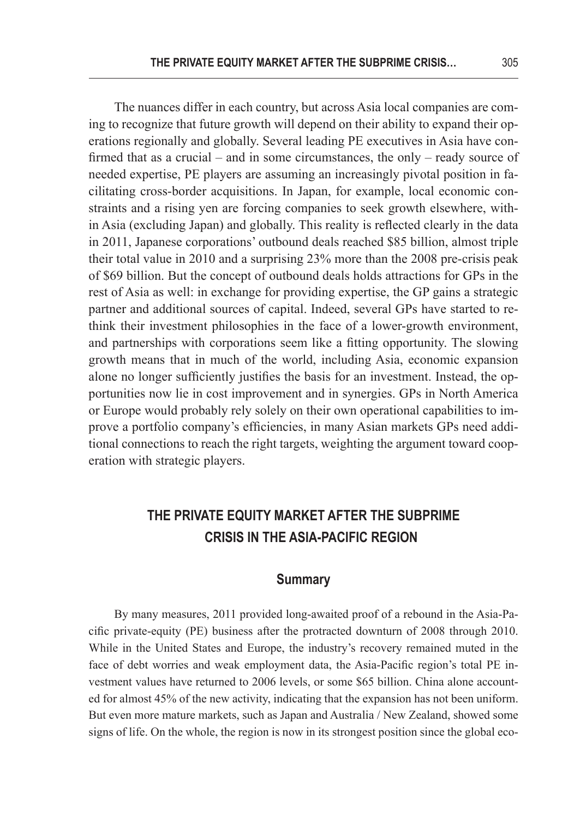The nuances differ in each country, but across Asia local companies are coming to recognize that future growth will depend on their ability to expand their operations regionally and globally. Several leading PE executives in Asia have confirmed that as a crucial – and in some circumstances, the only – ready source of needed expertise, PE players are assuming an increasingly pivotal position in facilitating cross-border acquisitions. In Japan, for example, local economic constraints and a rising yen are forcing companies to seek growth elsewhere, within Asia (excluding Japan) and globally. This reality is reflected clearly in the data in 2011, Japanese corporations' outbound deals reached \$85 billion, almost triple their total value in 2010 and a surprising 23% more than the 2008 pre-crisis peak of \$69 billion. But the concept of outbound deals holds attractions for GPs in the rest of Asia as well: in exchange for providing expertise, the GP gains a strategic partner and additional sources of capital. Indeed, several GPs have started to rethink their investment philosophies in the face of a lower-growth environment, and partnerships with corporations seem like a fitting opportunity. The slowing growth means that in much of the world, including Asia, economic expansion alone no longer sufficiently justifies the basis for an investment. Instead, the opportunities now lie in cost improvement and in synergies. GPs in North America or Europe would probably rely solely on their own operational capabilities to improve a portfolio company's efficiencies, in many Asian markets GPs need additional connections to reach the right targets, weighting the argument toward cooperation with strategic players.

# **THE PRIVATE EQUITY MARKET AFTER THE SUBPRIME CRISIS IN THE ASIA-PACIFIC REGION**

#### **Summary**

By many measures, 2011 provided long-awaited proof of a rebound in the Asia-Pacific private-equity (PE) business after the protracted downturn of 2008 through 2010. While in the United States and Europe, the industry's recovery remained muted in the face of debt worries and weak employment data, the Asia-Pacific region's total PE investment values have returned to 2006 levels, or some \$65 billion. China alone accounted for almost 45% of the new activity, indicating that the expansion has not been uniform. But even more mature markets, such as Japan and Australia / New Zealand, showed some signs of life. On the whole, the region is now in its strongest position since the global eco-